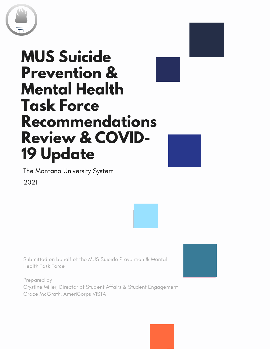

### **MUS Suicide Prevention & Mental Health Task Force Recommendations Review & COVID-19 Update**



The Montana University System 2021



Submitted on behalf of the MUS Suicide Prevention & Mental Health Task Force

Prepared by Crystine Miller, Director of Student Affairs & Student Engagement Grace McGrath, AmeriCorps VISTA

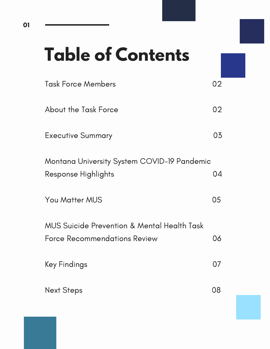## **Table of Contents**

| <b>Task Force Members</b>                                          | 02 |
|--------------------------------------------------------------------|----|
| <b>About the Task Force</b>                                        | 02 |
| <b>Executive Summary</b>                                           | 03 |
| Montana University System COVID-19 Pandemic<br>Response Highlights | 04 |
| <b>You Matter MUS</b>                                              | 05 |
| <b>MUS Suicide Prevention &amp; Mental Health Task</b>             |    |
| <b>Force Recommendations Review</b>                                | 06 |
| Key Findings                                                       | 07 |
| <b>Next Steps</b>                                                  | 08 |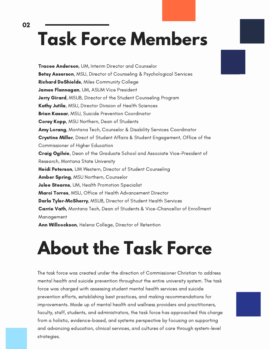## **Task Force Members**

02

Tracee Anderson, UM, Interim Director and Counselor Betsy Asserson, MSU, Director of Counseling & Psychological Services Richard DeShields, Miles Community College James Flannagan, UM, ASUM Vice President Jerry Girard, MSUB, Director of the Student Counseling Program Kathy Jutila, MSU, Director Division of Health Sciences **Brian Kassar, MSU, Suicide Prevention Coordinator Corey Kopp**, MSU Northern, Dean of Students Amy Lorang, Montana Tech, Counselor & Disability Services Coordinator **Crystine Miller**, Direct of Student Affairs & Student Engagement, Office of the Commissioner of Higher Education Craig Ogilvie, Dean of the Graduate School and Associate Vice-President of Research, Montana State University Heidi Peterson, UM Western, Director of Student Counseling Amber Spring, MSU Northern, Counselor Julee Stearns, UM, Health Promotion Specialist Marci Torres, MSU, Office of Health Advancement Director Darla Tyler-McSherry, MSUB, Director of Student Health Services Carrie Vath, Montana Tech, Dean of Students & Vice-Chancellor of Enrollment Management Ann Willcockson, Helena College, Director of Retention

## **About the Task Force**

The task force was created under the direction of Commissioner Christian to address mental health and suicide prevention throughout the entire university system. The task force was charged with assessing student mental health services and suicide prevention efforts, establishing best practices, and making recommendations for improvements. Made up of mental health and wellness providers and practitioners, faculty, staff, students, and administrators, the task force has approached this charge from a holistic, evidence-based, and systems perspective by focusing on supporting and advancing education, clinical services, and cultures of care through system-level strategies.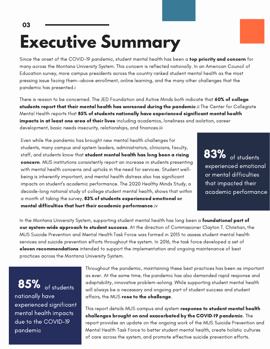# **Executive Summary**

Since the onset of the COVID-19 pandemic, student mental health has been a top priority and concern for many across the Montana University System. This concern is reflected nationally. In an American Council of Education survey, more campus presidents across the country ranked student mental health as the most pressing issue facing them—above enrollment, online learning, and the many other challenges that the pandemic has presented.i

There is reason to be concerned. The JED Foundation and Active Minds both indicate that **60% of college** students report that their mental health has worsened during the pandemic.ii The Center for Collegiate Mental Health reports that 85% of students nationally have experienced significant mental health impacts in at least one area of their lives including academics, loneliness and isolation, career development, basic needs insecurity, relationships, and finances.iii

Even while the pandemic has brought new mental health challenges for students, many campus and system leaders, administrators, clinicians, faculty, staff, and students know that student mental health has long been a rising concern. MUS institutions consistently report an increase in students presenting with mental health concerns and upticks in the need for services. Student wellbeing is inherently important, and mental health distress also has significant impacts on student's academic performance. The 2020 Healthy Minds Study, a decade-long national study of college student mental health, shows that within a month of taking the survey, 83% of students experienced emotional or mental difficulties that hurt their academic performance.iv

**83%** of students experienced experienced emotional or mental difficulties that impacted their academic performance

performance

In the Montana University System, supporting student mental health has long been a **foundational part of** our system-wide approach to student success. At the direction of Commissioner Clayton T. Christian, the MUS Suicide Prevention and Mental Health Task Force was formed in 2015 to assess student mental health services and suicide prevention efforts throughout the system. In 2016, the task force developed a set of eleven recommendations intended to support the implementation and ongoing maintenance of best practices across the Montana University System.

 $85\%$  of students nationally have experienced significant mental health impacts due to the COVID-19 pandemic

03

Throughout the pandemic, maintaining these best practices has been as important as ever. At the same time, the pandemic has also demanded rapid response and adaptability, innovative problem-solving. While supporting student mental health will always be a necessary and ongoing part of student success and student affairs, the MUS rose to the challenge.

This report details MUS campus and system response to student mental health challenges brought on and exacerbated by the COVID-19 pandemic. The report provides an update on the ongoing work of the MUS Suicide Prevention and Mental Health Task Force to better student mental health, create holistic cultures of care across the system, and promote effective suicide prevention efforts.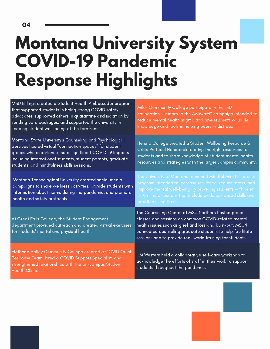### **Montana University System COVID-19 Pandemic Response Highlights**

| MSU Billings created a Student Health Ambassador program<br>that supported students in being strong COVID safety<br>advocates, supported others in quarantine and isolation by<br>sending care packages, and supported the university in<br>keeping student well-being at the forefront.   | Miles Community College participate in the JED<br>Foundation's "Embrace the Awkward" campaign intended to<br>reduce mental health stigma and give students valuable<br>knowledge and tools in helping peers in distress.                                                                       |
|--------------------------------------------------------------------------------------------------------------------------------------------------------------------------------------------------------------------------------------------------------------------------------------------|------------------------------------------------------------------------------------------------------------------------------------------------------------------------------------------------------------------------------------------------------------------------------------------------|
| Montana State University's Counseling and Psychological<br>Services hosted virtual "connection spaces" for student<br>groups who experience more significant COVID-19 impacts<br>including international students, student parents, graduate<br>students, and mindfulness skills sessions. | Helena College created a Student Wellbeing Resource &<br>Crisis Protocol Handbook to bring the right resources to<br>students and to share knowledge of student mental health<br>resources and strategies with the larger campus community.                                                    |
| Montana Technological University created social media<br>campaigns to share wellness activities, provide students with<br>information about norms during the pandemic, and promote<br>health and safety protocols.                                                                         | The University of Montana launched Mindful Minutes, a pilot<br>program intended to increase resilience, reduce stress, and<br>improve mental well-being by providing students with brief<br>5-10 minute sessions that include evidence-based skills and<br>practice using them.                |
| At Great Falls College, the Student Engagement<br>department provided outreach and created virtual exercises<br>for students' mental and physical health.                                                                                                                                  | The Counseling Center at MSU Northern hosted group<br>classes and sessions on common COVID-related mental<br>health issues such as grief and loss and burn-out. MSUN<br>connected counseling graduate students to help facilitate<br>sessions and to provide real-world training for students. |
| Flathead Valley Community College created a COVID Quick<br>Response Team, hired a COVID Support Specialist, and<br>strengthened relationships with the on-campus Student<br><b>Health Clinic.</b>                                                                                          | UM Western held a collaborative self-care workshop to<br>acknowledge the efforts of staff in their work to support<br>students throughout the pandemic.                                                                                                                                        |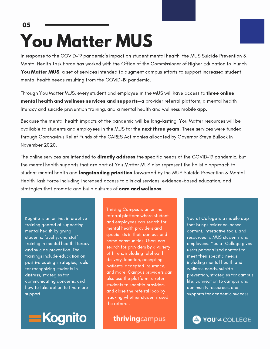### **You Matter MUS** 05

In response to the COVID-19 pandemic's impact on student mental health, the MUS Suicide Prevention & Mental Health Task Force has worked with the Office of the Commissioner of Higher Education to launch You Matter MUS, a set of services intended to augment campus efforts to support increased student mental health needs resulting from the COVID-19 pandemic.

Through You Matter MUS, every student and employee in the MUS will have access to **three online** mental health and wellness services and supports—a provider referral platform, a mental health literacy and suicide prevention training, and a mental health and wellness mobile app.

Because the mental health impacts of the pandemic will be long-lasting, You Matter resources will be available to students and employees in the MUS for the next three years. These services were funded through Coronavirus Relief Funds of the CARES Act monies allocated by Governor Steve Bullock in November 2020.

The online services are intended to **directly address** the specific needs of the COVID-19 pandemic, but the mental health supports that are part of You Matter MUS also represent the holistic approach to student mental health and **longstanding priorities** forwarded by the MUS Suicide Prevention & Mental Health Task Force including increased access to clinical services, evidence-based education, and strategies that promote and build cultures of care and wellness.

Kognito is an online, interactive training geared at supporting mental health by giving students, faculty, and staff training in mental health literacy and suicide prevention. The trainings include education on positive coping strategies, tools for recognizing students in distress, strategies for communicating concerns, and how to take action to find more support.



Thriving Campus is an online referral platform where student and employees can search for mental health providers and specialists in their campus and home communities. Users can search for providers by a variety of filters, including telehealth delivery, location, accepting patients, accepted insurance, and more. Campus providers can also use the platform to refer students to specific providers and close the referral loop by tracking whether students used the referral.

thrivingcampus

You at College is a mobile app that brings evidence-based content, interactive tools, and resources to MUS students and employees. You at College gives users personalized content to meet their specific needs including mental health and wellness needs, suicide prevention, strategies for campus life, connection to campus and community resources, and supports for academic success.

YOU'<sup>ot</sup> COLLEGE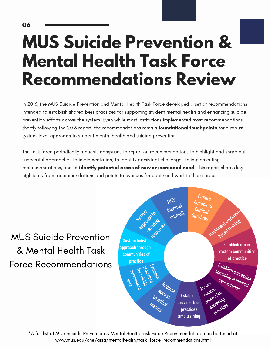## **MUS Suicide Prevention & Mental Health Task Force Recommendations Review**

In 2016, the MUS Suicide Prevention and Mental Health Task Force developed a set of recommendations intended to establish shared best practices for supporting student mental health and enhancing suicide prevention efforts across the system. Even while most institutions implemented most recommendations shortly following the 2016 report, the recommendations remain **foundational touchpoints** for a robust system-level approach to student mental health and suicide prevention.

The task force periodically requests campuses to report on recommendations to highlight and share out successful approaches to implementation, to identify persistent challenges to implementing recommendations, and to identify potential areas of new or increased need. This report shares key highlights from recommendations and points to avenues for continued work in these areas.

MUS Suicide Prevention & Mental Health Task Force Recommendations



\*A full list of MUS Suicide Prevention & Mental Health Task Force Recommendations can be found at [www.mus.edu/che/arsa/mentalhealth/task\\_force\\_recommendations.html](https://www.mus.edu/che/arsa/mentalhealth/task_force_recommendations.html)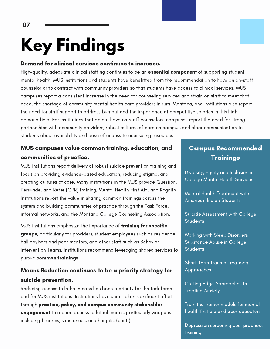# **Key Findings**

#### Demand for clinical services continues to increase.

High-quality, adequate clinical staffing continues to be an **essential component** of supporting student mental health. MUS institutions and students have benefitted from the recommendation to have an on-staff counselor or to contract with community providers so that students have access to clinical services. MUS campuses report a consistent increase in the need for counseling services and strain on staff to meet that need, the shortage of community mental health care providers in rural Montana, and Institutions also report the need for staff support to address burnout and the importance of competitive salaries in this highdemand field. For institutions that do not have on-staff counselors, campuses report the need for strong partnerships with community providers, robust cultures of care on campus, and clear communication to students about availability and ease of access to counseling resources.

#### MUS campuses value common training, education, and communities of practice.

MUS institutions report delivery of robust suicide prevention training and focus on providing evidence-based education, reducing stigma, and creating cultures of care. Many institutions in the MUS provide Question, Persuade, and Refer (QPR) training, Mental Health First Aid, and Kognito. Institutions report the value in sharing common trainings across the system and building communities of practice through the Task Force, informal networks, and the Montana College Counseling Association.

MUS institutions emphasize the importance of **training for specific** groups, particularly for providers, student employees such as residence hall advisors and peer mentors, and other staff such as Behavior Intervention Teams. Institutions recommend leveraging shared services to pursue common trainings.

#### Means Reduction continues to be a priority strategy for suicide prevention.

Reducing access to lethal means has been a priority for the task force and for MUS institutions. Institutions have undertaken significant effort through practice, policy, and campus community stakeholder engagement to reduce access to lethal means, particularly weapons including firearms, substances, and heights. (cont.)

### Campus Recommended **Trainings**

Diversity, Equity and Inclusion in College Mental Health Services

Mental Health Treatment with American Indian Students

Suicide Assessment with College **Students** 

Working with Sleep Disorders Substance Abuse in College **Students** 

Short-Term Trauma Treatment Approaches

Cutting Edge Approaches to Treating Anxiety

Train the trainer models for mental health first aid and peer educators

Depression screening best practices training